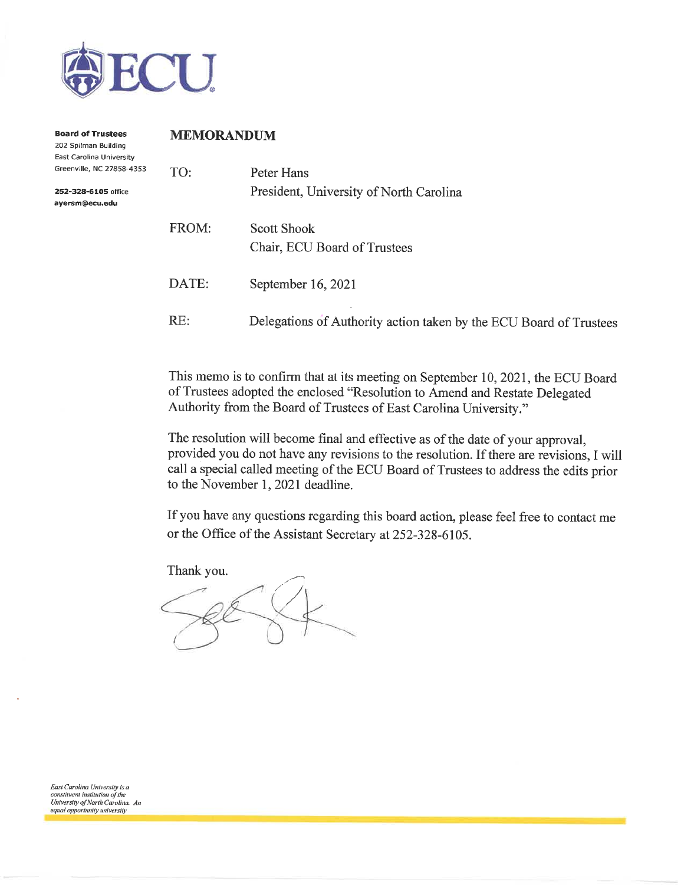

| <b>Board of Trustees</b><br>202 Spilman Building<br>East Carolina University | <b>MEMORANDUM</b> |                                                                    |  |  |  |
|------------------------------------------------------------------------------|-------------------|--------------------------------------------------------------------|--|--|--|
| Greenville, NC 27858-4353                                                    | TO:               | Peter Hans                                                         |  |  |  |
| 252-328-6105 office<br>ayersm@ecu.edu                                        |                   | President, University of North Carolina                            |  |  |  |
|                                                                              | FROM:             | Scott Shook<br>Chair, ECU Board of Trustees                        |  |  |  |
|                                                                              | DATE:             | September 16, 2021                                                 |  |  |  |
|                                                                              | RE:               | Delegations of Authority action taken by the ECU Board of Trustees |  |  |  |

This memo is to confirm that at its meeting on September 10, 2021, the ECU Board of Trustees adopted the enclosed "Resolution to Amend and Restate Delegated Authority from the Board of Trustees of East Carolina University."

The resolution will become final and effective as of the date of your approval, provided you do not have any revisions to the resolution. If there are revisions, I will call a special called meeting of the ECU Board of Trustees to address the edits prior to the November 1, 2021 deadline.

If you have any questions regarding this board action, please feel free to contact me or the Office of the Assistant Secretary at 252-328-6105.

Thank you.

East Carolina University is a constituent institution of the University of North Carolina. An equal opportunity university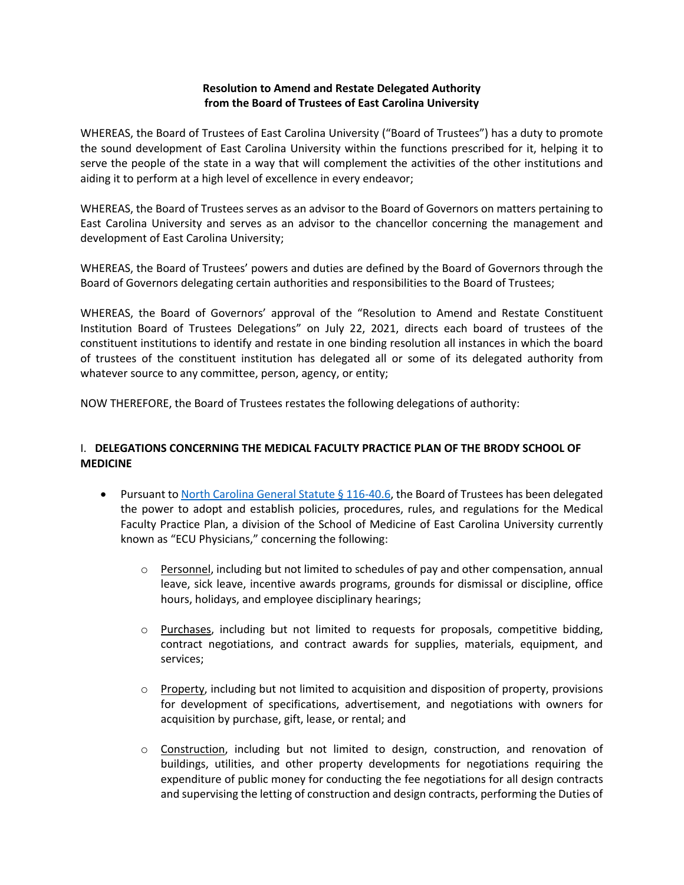## **Resolution to Amend and Restate Delegated Authority from the Board of Trustees of East Carolina University**

WHEREAS, the Board of Trustees of East Carolina University ("Board of Trustees") has a duty to promote the sound development of East Carolina University within the functions prescribed for it, helping it to serve the people of the state in a way that will complement the activities of the other institutions and aiding it to perform at a high level of excellence in every endeavor;

WHEREAS, the Board of Trustees serves as an advisor to the Board of Governors on matters pertaining to East Carolina University and serves as an advisor to the chancellor concerning the management and development of East Carolina University;

WHEREAS, the Board of Trustees' powers and duties are defined by the Board of Governors through the Board of Governors delegating certain authorities and responsibilities to the Board of Trustees;

WHEREAS, the Board of Governors' approval of the "Resolution to Amend and Restate Constituent Institution Board of Trustees Delegations" on July 22, 2021, directs each board of trustees of the constituent institutions to identify and restate in one binding resolution all instances in which the board of trustees of the constituent institution has delegated all or some of its delegated authority from whatever source to any committee, person, agency, or entity;

NOW THEREFORE, the Board of Trustees restates the following delegations of authority:

## I. **DELEGATIONS CONCERNING THE MEDICAL FACULTY PRACTICE PLAN OF THE BRODY SCHOOL OF MEDICINE**

- Pursuant to North Carolina General Statute § 116-40.6, the Board of Trustees has been delegated the power to adopt and establish policies, procedures, rules, and regulations for the Medical Faculty Practice Plan, a division of the School of Medicine of East Carolina University currently known as "ECU Physicians," concerning the following:
	- $\circ$  Personnel, including but not limited to schedules of pay and other compensation, annual leave, sick leave, incentive awards programs, grounds for dismissal or discipline, office hours, holidays, and employee disciplinary hearings;
	- $\circ$  Purchases, including but not limited to requests for proposals, competitive bidding, contract negotiations, and contract awards for supplies, materials, equipment, and services;
	- $\circ$  Property, including but not limited to acquisition and disposition of property, provisions for development of specifications, advertisement, and negotiations with owners for acquisition by purchase, gift, lease, or rental; and
	- o Construction, including but not limited to design, construction, and renovation of buildings, utilities, and other property developments for negotiations requiring the expenditure of public money for conducting the fee negotiations for all design contracts and supervising the letting of construction and design contracts, performing the Duties of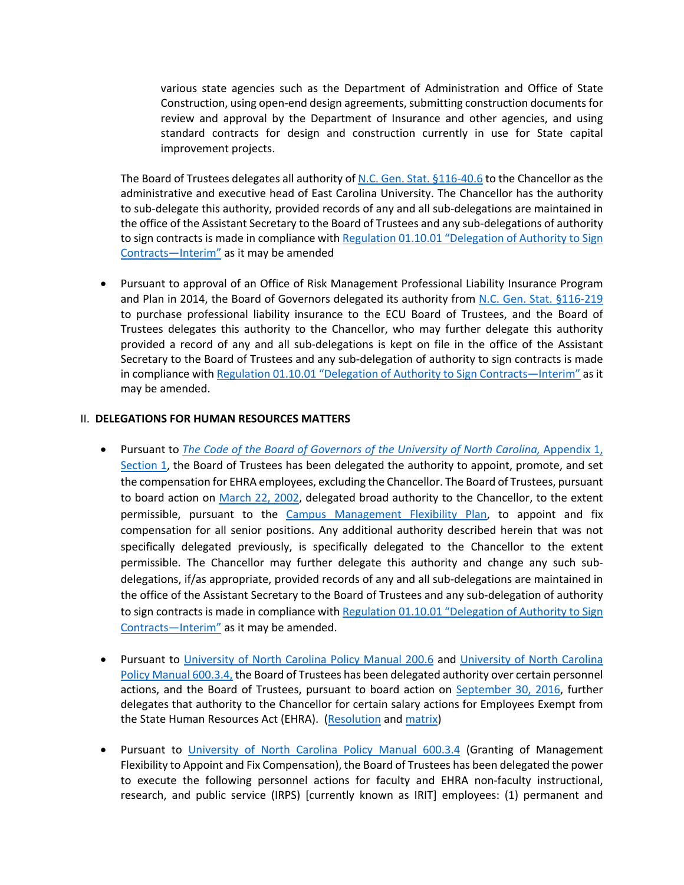various state agencies such as the Department of Administration and Office of State Construction, using open-end design agreements, submitting construction documents for review and approval by the Department of Insurance and other agencies, and using standard contracts for design and construction currently in use for State capital improvement projects.

The Board of Trustees delegates all authority of N.C. Gen. Stat. §116-40.6 to the Chancellor as the administrative and executive head of East Carolina University. The Chancellor has the authority to sub-delegate this authority, provided records of any and all sub-delegations are maintained in the office of the Assistant Secretary to the Board of Trustees and any sub-delegations of authority to sign contracts is made in compliance with Regulation 01.10.01 "Delegation of Authority to Sign Contracts—Interim" as it may be amended

• Pursuant to approval of an Office of Risk Management Professional Liability Insurance Program and Plan in 2014, the Board of Governors delegated its authority from N.C. Gen. Stat. §116-219 to purchase professional liability insurance to the ECU Board of Trustees, and the Board of Trustees delegates this authority to the Chancellor, who may further delegate this authority provided a record of any and all sub-delegations is kept on file in the office of the Assistant Secretary to the Board of Trustees and any sub-delegation of authority to sign contracts is made in compliance with Regulation 01.10.01 "Delegation of Authority to Sign Contracts—Interim" as it may be amended.

#### II. **DELEGATIONS FOR HUMAN RESOURCES MATTERS**

- Pursuant to *The Code of the Board of Governors of the University of North Carolina,* Appendix 1, Section 1, the Board of Trustees has been delegated the authority to appoint, promote, and set the compensation for EHRA employees, excluding the Chancellor. The Board of Trustees, pursuant to board action on March 22, 2002, delegated broad authority to the Chancellor, to the extent permissible, pursuant to the Campus Management Flexibility Plan, to appoint and fix compensation for all senior positions. Any additional authority described herein that was not specifically delegated previously, is specifically delegated to the Chancellor to the extent permissible. The Chancellor may further delegate this authority and change any such subdelegations, if/as appropriate, provided records of any and all sub-delegations are maintained in the office of the Assistant Secretary to the Board of Trustees and any sub-delegation of authority to sign contracts is made in compliance with Regulation 01.10.01 "Delegation of Authority to Sign Contracts—Interim" as it may be amended.
- Pursuant to University of North Carolina Policy Manual 200.6 and University of North Carolina Policy Manual 600.3.4, the Board of Trustees has been delegated authority over certain personnel actions, and the Board of Trustees, pursuant to board action on September 30, 2016, further delegates that authority to the Chancellor for certain salary actions for Employees Exempt from the State Human Resources Act (EHRA). (Resolution and matrix)
- Pursuant to University of North Carolina Policy Manual 600.3.4 (Granting of Management Flexibility to Appoint and Fix Compensation), the Board of Trustees has been delegated the power to execute the following personnel actions for faculty and EHRA non-faculty instructional, research, and public service (IRPS) [currently known as IRIT] employees: (1) permanent and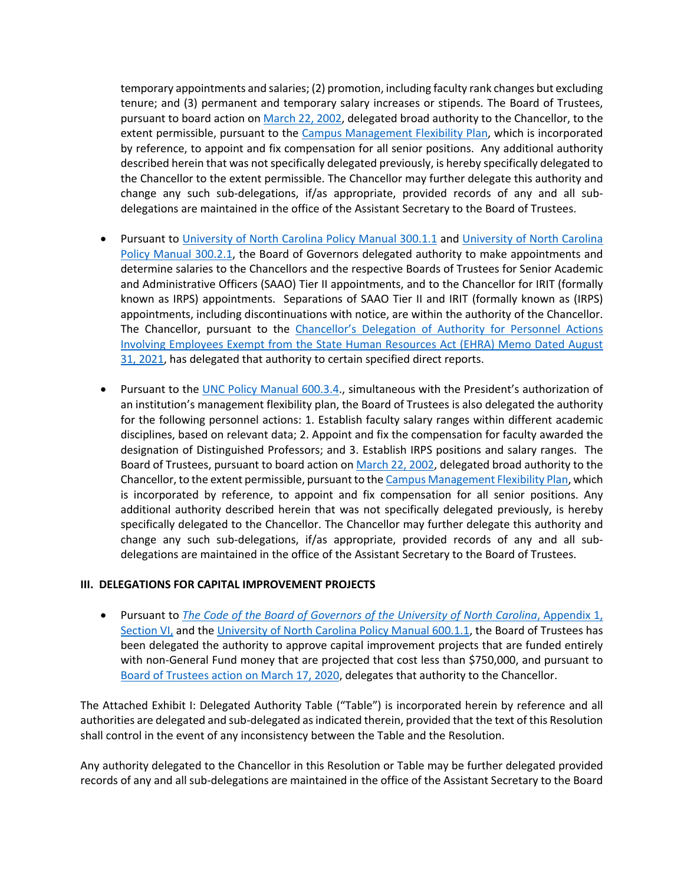temporary appointments and salaries; (2) promotion, including faculty rank changes but excluding tenure; and (3) permanent and temporary salary increases or stipends. The Board of Trustees, pursuant to board action on March 22, 2002, delegated broad authority to the Chancellor, to the extent permissible, pursuant to the Campus Management Flexibility Plan, which is incorporated by reference, to appoint and fix compensation for all senior positions. Any additional authority described herein that was not specifically delegated previously, is hereby specifically delegated to the Chancellor to the extent permissible. The Chancellor may further delegate this authority and change any such sub-delegations, if/as appropriate, provided records of any and all subdelegations are maintained in the office of the Assistant Secretary to the Board of Trustees.

- Pursuant to University of North Carolina Policy Manual 300.1.1 and University of North Carolina Policy Manual 300.2.1, the Board of Governors delegated authority to make appointments and determine salaries to the Chancellors and the respective Boards of Trustees for Senior Academic and Administrative Officers (SAAO) Tier II appointments, and to the Chancellor for IRIT (formally known as IRPS) appointments. Separations of SAAO Tier II and IRIT (formally known as (IRPS) appointments, including discontinuations with notice, are within the authority of the Chancellor. The Chancellor, pursuant to the Chancellor's Delegation of Authority for Personnel Actions Involving Employees Exempt from the State Human Resources Act (EHRA) Memo Dated August 31, 2021, has delegated that authority to certain specified direct reports.
- Pursuant to the UNC Policy Manual 600.3.4., simultaneous with the President's authorization of an institution's management flexibility plan, the Board of Trustees is also delegated the authority for the following personnel actions: 1. Establish faculty salary ranges within different academic disciplines, based on relevant data; 2. Appoint and fix the compensation for faculty awarded the designation of Distinguished Professors; and 3. Establish IRPS positions and salary ranges. The Board of Trustees, pursuant to board action on March 22, 2002, delegated broad authority to the Chancellor, to the extent permissible, pursuant to the Campus Management Flexibility Plan, which is incorporated by reference, to appoint and fix compensation for all senior positions. Any additional authority described herein that was not specifically delegated previously, is hereby specifically delegated to the Chancellor. The Chancellor may further delegate this authority and change any such sub-delegations, if/as appropriate, provided records of any and all subdelegations are maintained in the office of the Assistant Secretary to the Board of Trustees.

### **III. DELEGATIONS FOR CAPITAL IMPROVEMENT PROJECTS**

• Pursuant to *The Code of the Board of Governors of the University of North Carolina*, Appendix 1, Section VI, and the University of North Carolina Policy Manual 600.1.1, the Board of Trustees has been delegated the authority to approve capital improvement projects that are funded entirely with non-General Fund money that are projected that cost less than \$750,000, and pursuant to Board of Trustees action on March 17, 2020, delegates that authority to the Chancellor.

The Attached Exhibit I: Delegated Authority Table ("Table") is incorporated herein by reference and all authorities are delegated and sub-delegated as indicated therein, provided that the text of this Resolution shall control in the event of any inconsistency between the Table and the Resolution.

Any authority delegated to the Chancellor in this Resolution or Table may be further delegated provided records of any and all sub-delegations are maintained in the office of the Assistant Secretary to the Board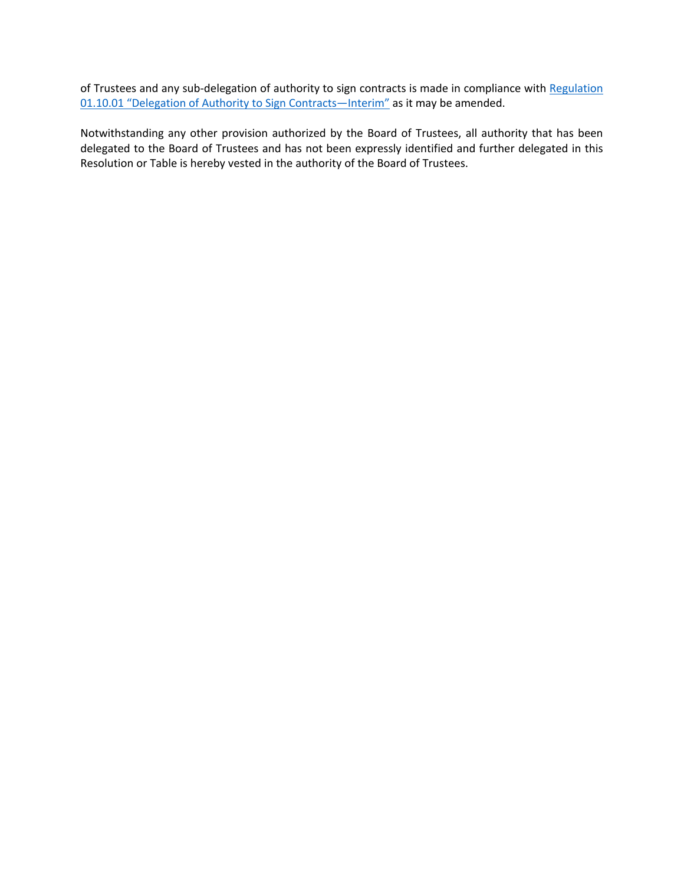of Trustees and any sub-delegation of authority to sign contracts is made in compliance with Regulation 01.10.01 "Delegation of Authority to Sign Contracts—Interim" as it may be amended.

Notwithstanding any other provision authorized by the Board of Trustees, all authority that has been delegated to the Board of Trustees and has not been expressly identified and further delegated in this Resolution or Table is hereby vested in the authority of the Board of Trustees.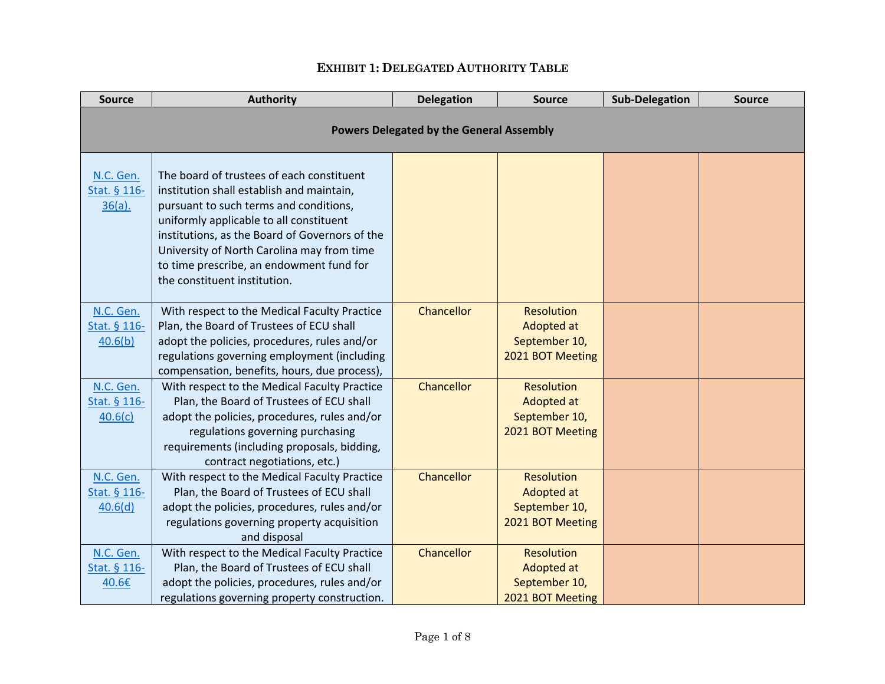# **EXHIBIT 1: DELEGATED AUTHORITY TABLE**

| <b>Source</b>                          | <b>Authority</b>                                                                                                                                                                                                                                                                                                                                        | <b>Delegation</b> | <b>Source</b>                                                        | <b>Sub-Delegation</b> | <b>Source</b> |  |  |
|----------------------------------------|---------------------------------------------------------------------------------------------------------------------------------------------------------------------------------------------------------------------------------------------------------------------------------------------------------------------------------------------------------|-------------------|----------------------------------------------------------------------|-----------------------|---------------|--|--|
|                                        | <b>Powers Delegated by the General Assembly</b>                                                                                                                                                                                                                                                                                                         |                   |                                                                      |                       |               |  |  |
| N.C. Gen.<br>Stat. § 116-<br>$36(a)$ . | The board of trustees of each constituent<br>institution shall establish and maintain,<br>pursuant to such terms and conditions,<br>uniformly applicable to all constituent<br>institutions, as the Board of Governors of the<br>University of North Carolina may from time<br>to time prescribe, an endowment fund for<br>the constituent institution. |                   |                                                                      |                       |               |  |  |
| N.C. Gen.<br>Stat. § 116-<br>40.6(b)   | With respect to the Medical Faculty Practice<br>Plan, the Board of Trustees of ECU shall<br>adopt the policies, procedures, rules and/or<br>regulations governing employment (including<br>compensation, benefits, hours, due process),                                                                                                                 | Chancellor        | <b>Resolution</b><br>Adopted at<br>September 10,<br>2021 BOT Meeting |                       |               |  |  |
| N.C. Gen.<br>Stat. § 116-<br>40.6(c)   | With respect to the Medical Faculty Practice<br>Plan, the Board of Trustees of ECU shall<br>adopt the policies, procedures, rules and/or<br>regulations governing purchasing<br>requirements (including proposals, bidding,<br>contract negotiations, etc.)                                                                                             | Chancellor        | <b>Resolution</b><br>Adopted at<br>September 10,<br>2021 BOT Meeting |                       |               |  |  |
| N.C. Gen.<br>Stat. § 116-<br>40.6(d)   | With respect to the Medical Faculty Practice<br>Plan, the Board of Trustees of ECU shall<br>adopt the policies, procedures, rules and/or<br>regulations governing property acquisition<br>and disposal                                                                                                                                                  | Chancellor        | <b>Resolution</b><br>Adopted at<br>September 10,<br>2021 BOT Meeting |                       |               |  |  |
| N.C. Gen.<br>Stat. § 116-<br>40.6€     | With respect to the Medical Faculty Practice<br>Plan, the Board of Trustees of ECU shall<br>adopt the policies, procedures, rules and/or<br>regulations governing property construction.                                                                                                                                                                | Chancellor        | <b>Resolution</b><br>Adopted at<br>September 10,<br>2021 BOT Meeting |                       |               |  |  |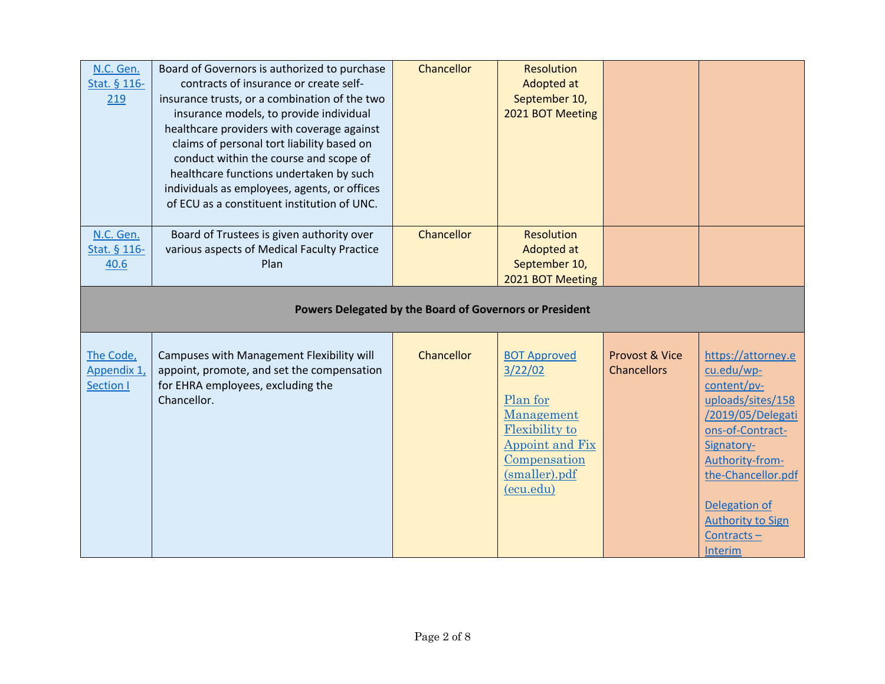| N.C. Gen.<br>Stat. § 116-<br>219             | Board of Governors is authorized to purchase<br>contracts of insurance or create self-<br>insurance trusts, or a combination of the two<br>insurance models, to provide individual<br>healthcare providers with coverage against<br>claims of personal tort liability based on<br>conduct within the course and scope of<br>healthcare functions undertaken by such<br>individuals as employees, agents, or offices<br>of ECU as a constituent institution of UNC. | Chancellor | <b>Resolution</b><br>Adopted at<br>September 10,<br>2021 BOT Meeting                                                                               |                                      |                                                                                                                                                                                                                                                   |  |  |
|----------------------------------------------|--------------------------------------------------------------------------------------------------------------------------------------------------------------------------------------------------------------------------------------------------------------------------------------------------------------------------------------------------------------------------------------------------------------------------------------------------------------------|------------|----------------------------------------------------------------------------------------------------------------------------------------------------|--------------------------------------|---------------------------------------------------------------------------------------------------------------------------------------------------------------------------------------------------------------------------------------------------|--|--|
| N.C. Gen.<br>Stat. § 116-<br>40.6            | Board of Trustees is given authority over<br>various aspects of Medical Faculty Practice<br>Plan                                                                                                                                                                                                                                                                                                                                                                   | Chancellor | <b>Resolution</b><br>Adopted at<br>September 10,<br>2021 BOT Meeting                                                                               |                                      |                                                                                                                                                                                                                                                   |  |  |
|                                              | Powers Delegated by the Board of Governors or President                                                                                                                                                                                                                                                                                                                                                                                                            |            |                                                                                                                                                    |                                      |                                                                                                                                                                                                                                                   |  |  |
| The Code,<br>Appendix 1,<br><b>Section I</b> | Campuses with Management Flexibility will<br>appoint, promote, and set the compensation<br>for EHRA employees, excluding the<br>Chancellor.                                                                                                                                                                                                                                                                                                                        | Chancellor | <b>BOT Approved</b><br>3/22/02<br>Plan for<br>Management<br><b>Flexibility to</b><br>Appoint and Fix<br>Compensation<br>(smaller).pdf<br>(ecu.edu) | Provost & Vice<br><b>Chancellors</b> | https://attorney.e<br>cu.edu/wp-<br>content/pv-<br>uploads/sites/158<br>/2019/05/Delegati<br>ons-of-Contract-<br>Signatory-<br>Authority-from-<br>the-Chancellor.pdf<br>Delegation of<br><b>Authority to Sign</b><br>Contracts-<br><b>Interim</b> |  |  |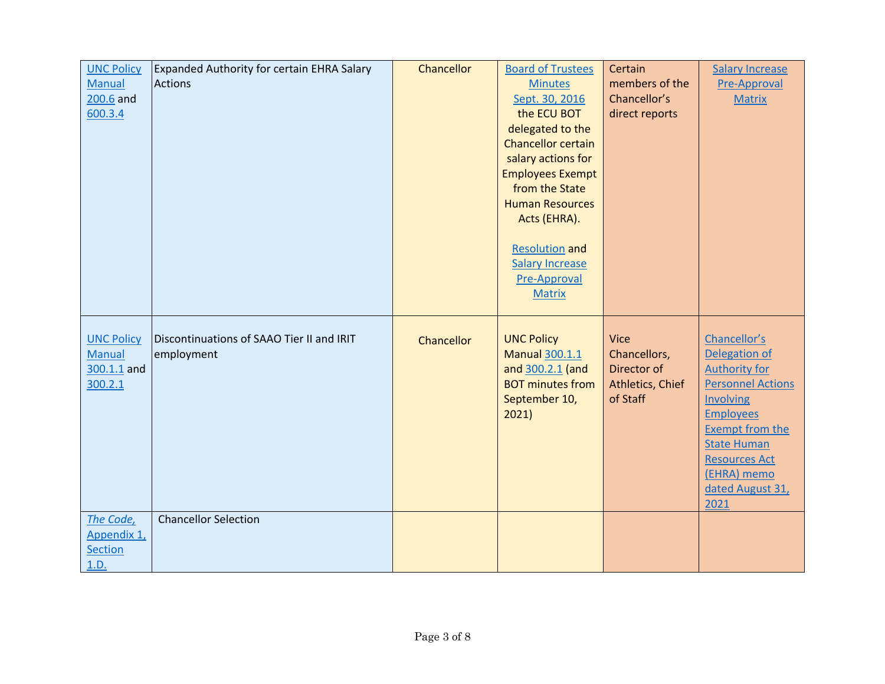| <b>UNC Policy</b><br><b>Manual</b><br>$200.6$ and<br>600.3.4 | <b>Expanded Authority for certain EHRA Salary</b><br><b>Actions</b> | Chancellor | <b>Board of Trustees</b><br><b>Minutes</b><br>Sept. 30, 2016<br>the ECU BOT<br>delegated to the<br><b>Chancellor certain</b><br>salary actions for<br><b>Employees Exempt</b><br>from the State<br><b>Human Resources</b><br>Acts (EHRA).<br><b>Resolution and</b><br><b>Salary Increase</b><br>Pre-Approval<br><b>Matrix</b> | Certain<br>members of the<br>Chancellor's<br>direct reports                | <b>Salary Increase</b><br><b>Pre-Approval</b><br><b>Matrix</b>                                                                                                                                                                        |
|--------------------------------------------------------------|---------------------------------------------------------------------|------------|-------------------------------------------------------------------------------------------------------------------------------------------------------------------------------------------------------------------------------------------------------------------------------------------------------------------------------|----------------------------------------------------------------------------|---------------------------------------------------------------------------------------------------------------------------------------------------------------------------------------------------------------------------------------|
| <b>UNC Policy</b><br><b>Manual</b><br>300.1.1 and<br>300.2.1 | Discontinuations of SAAO Tier II and IRIT<br>employment             | Chancellor | <b>UNC Policy</b><br><b>Manual 300.1.1</b><br>and 300.2.1 (and<br><b>BOT minutes from</b><br>September 10,<br>2021)                                                                                                                                                                                                           | <b>Vice</b><br>Chancellors,<br>Director of<br>Athletics, Chief<br>of Staff | Chancellor's<br>Delegation of<br><b>Authority for</b><br><b>Personnel Actions</b><br>Involving<br><b>Employees</b><br><b>Exempt from the</b><br><b>State Human</b><br><b>Resources Act</b><br>(EHRA) memo<br>dated August 31,<br>2021 |
| The Code,<br>Appendix 1,<br>Section<br>1.D.                  | <b>Chancellor Selection</b>                                         |            |                                                                                                                                                                                                                                                                                                                               |                                                                            |                                                                                                                                                                                                                                       |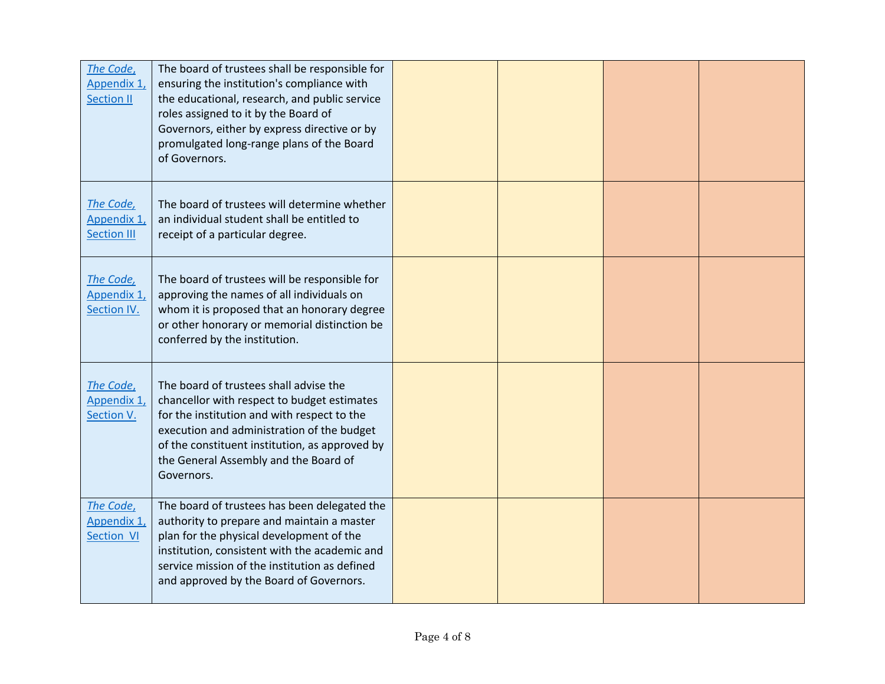| The Code,<br>Appendix 1,<br><b>Section II</b>  | The board of trustees shall be responsible for<br>ensuring the institution's compliance with<br>the educational, research, and public service<br>roles assigned to it by the Board of<br>Governors, either by express directive or by<br>promulgated long-range plans of the Board<br>of Governors. |  |  |
|------------------------------------------------|-----------------------------------------------------------------------------------------------------------------------------------------------------------------------------------------------------------------------------------------------------------------------------------------------------|--|--|
| The Code,<br>Appendix 1,<br><b>Section III</b> | The board of trustees will determine whether<br>an individual student shall be entitled to<br>receipt of a particular degree.                                                                                                                                                                       |  |  |
| The Code,<br>Appendix 1,<br>Section IV.        | The board of trustees will be responsible for<br>approving the names of all individuals on<br>whom it is proposed that an honorary degree<br>or other honorary or memorial distinction be<br>conferred by the institution.                                                                          |  |  |
| The Code,<br>Appendix 1,<br>Section V.         | The board of trustees shall advise the<br>chancellor with respect to budget estimates<br>for the institution and with respect to the<br>execution and administration of the budget<br>of the constituent institution, as approved by<br>the General Assembly and the Board of<br>Governors.         |  |  |
| The Code,<br>Appendix 1,<br>Section VI         | The board of trustees has been delegated the<br>authority to prepare and maintain a master<br>plan for the physical development of the<br>institution, consistent with the academic and<br>service mission of the institution as defined<br>and approved by the Board of Governors.                 |  |  |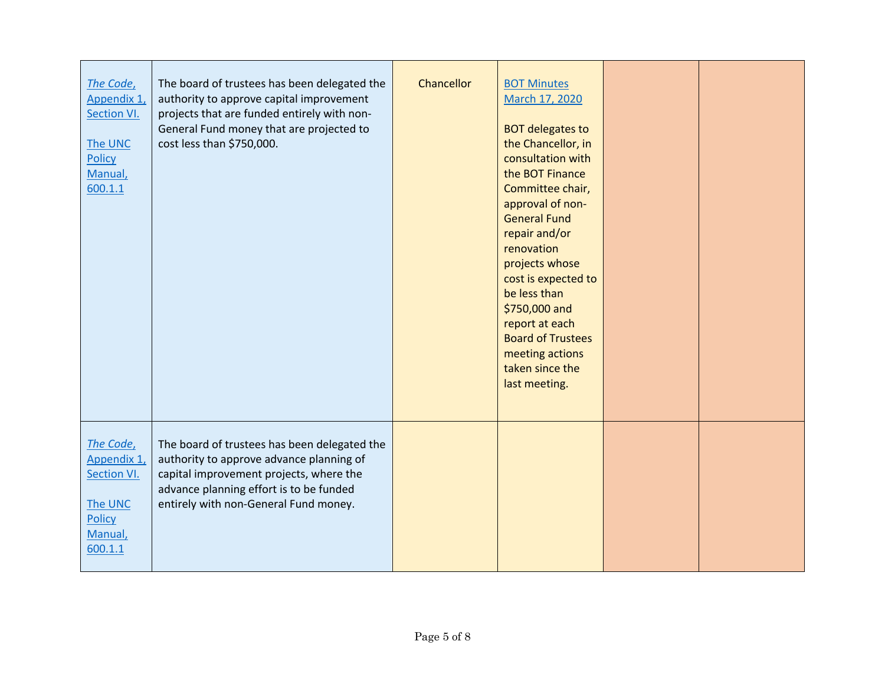| The Code,<br>Appendix 1,<br>Section VI.<br>The UNC<br>Policy<br>Manual,<br>600.1.1 | The board of trustees has been delegated the<br>authority to approve capital improvement<br>projects that are funded entirely with non-<br>General Fund money that are projected to<br>cost less than \$750,000.        | Chancellor | <b>BOT Minutes</b><br>March 17, 2020<br><b>BOT delegates to</b><br>the Chancellor, in<br>consultation with<br>the BOT Finance<br>Committee chair,<br>approval of non-<br><b>General Fund</b><br>repair and/or<br>renovation<br>projects whose<br>cost is expected to<br>be less than<br>\$750,000 and<br>report at each<br><b>Board of Trustees</b><br>meeting actions<br>taken since the<br>last meeting. |  |
|------------------------------------------------------------------------------------|-------------------------------------------------------------------------------------------------------------------------------------------------------------------------------------------------------------------------|------------|------------------------------------------------------------------------------------------------------------------------------------------------------------------------------------------------------------------------------------------------------------------------------------------------------------------------------------------------------------------------------------------------------------|--|
| The Code,<br>Appendix 1,<br>Section VI.<br>The UNC<br>Policy<br>Manual,<br>600.1.1 | The board of trustees has been delegated the<br>authority to approve advance planning of<br>capital improvement projects, where the<br>advance planning effort is to be funded<br>entirely with non-General Fund money. |            |                                                                                                                                                                                                                                                                                                                                                                                                            |  |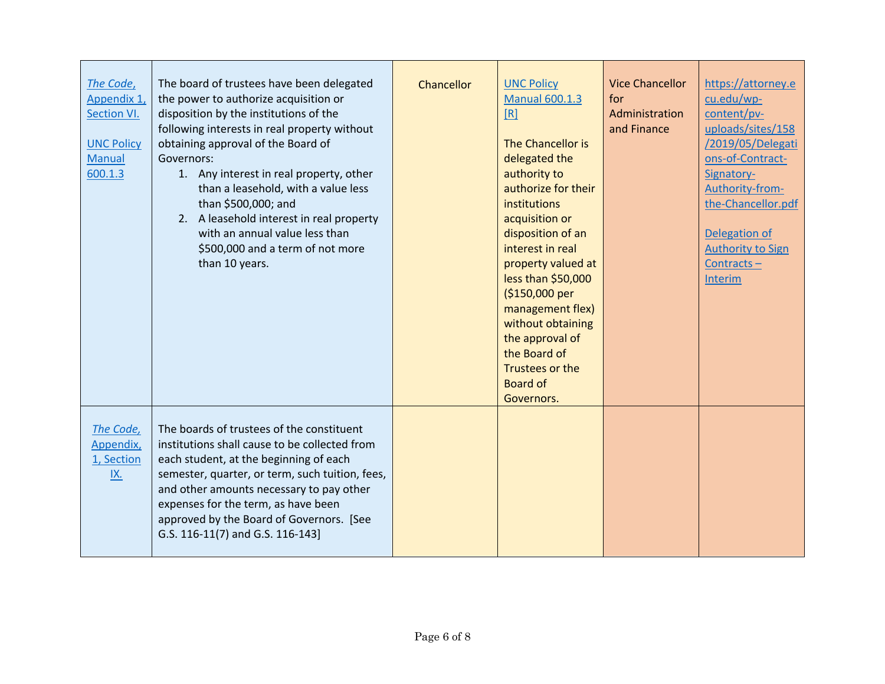| The Code,<br>Appendix 1,<br>Section VI.<br><b>UNC Policy</b><br><b>Manual</b><br>600.1.3 | The board of trustees have been delegated<br>the power to authorize acquisition or<br>disposition by the institutions of the<br>following interests in real property without<br>obtaining approval of the Board of<br>Governors:<br>1. Any interest in real property, other<br>than a leasehold, with a value less<br>than \$500,000; and<br>2. A leasehold interest in real property<br>with an annual value less than<br>\$500,000 and a term of not more<br>than 10 years. | Chancellor | <b>UNC Policy</b><br><b>Manual 600.1.3</b><br>[R]<br>The Chancellor is<br>delegated the<br>authority to<br>authorize for their<br>institutions<br>acquisition or<br>disposition of an<br>interest in real<br>property valued at<br>less than \$50,000<br>(\$150,000 per<br>management flex)<br>without obtaining<br>the approval of<br>the Board of<br>Trustees or the<br><b>Board of</b><br>Governors. | <b>Vice Chancellor</b><br>for<br>Administration<br>and Finance | https://attorney.e<br>cu.edu/wp-<br>content/pv-<br>uploads/sites/158<br>/2019/05/Delegati<br>ons-of-Contract-<br>Signatory-<br>Authority-from-<br>the-Chancellor.pdf<br>Delegation of<br><b>Authority to Sign</b><br>$Contracts -$<br>Interim |
|------------------------------------------------------------------------------------------|-------------------------------------------------------------------------------------------------------------------------------------------------------------------------------------------------------------------------------------------------------------------------------------------------------------------------------------------------------------------------------------------------------------------------------------------------------------------------------|------------|---------------------------------------------------------------------------------------------------------------------------------------------------------------------------------------------------------------------------------------------------------------------------------------------------------------------------------------------------------------------------------------------------------|----------------------------------------------------------------|-----------------------------------------------------------------------------------------------------------------------------------------------------------------------------------------------------------------------------------------------|
| The Code,<br>Appendix,<br>1, Section<br>IX.                                              | The boards of trustees of the constituent<br>institutions shall cause to be collected from<br>each student, at the beginning of each<br>semester, quarter, or term, such tuition, fees,<br>and other amounts necessary to pay other<br>expenses for the term, as have been<br>approved by the Board of Governors. [See<br>G.S. 116-11(7) and G.S. 116-143]                                                                                                                    |            |                                                                                                                                                                                                                                                                                                                                                                                                         |                                                                |                                                                                                                                                                                                                                               |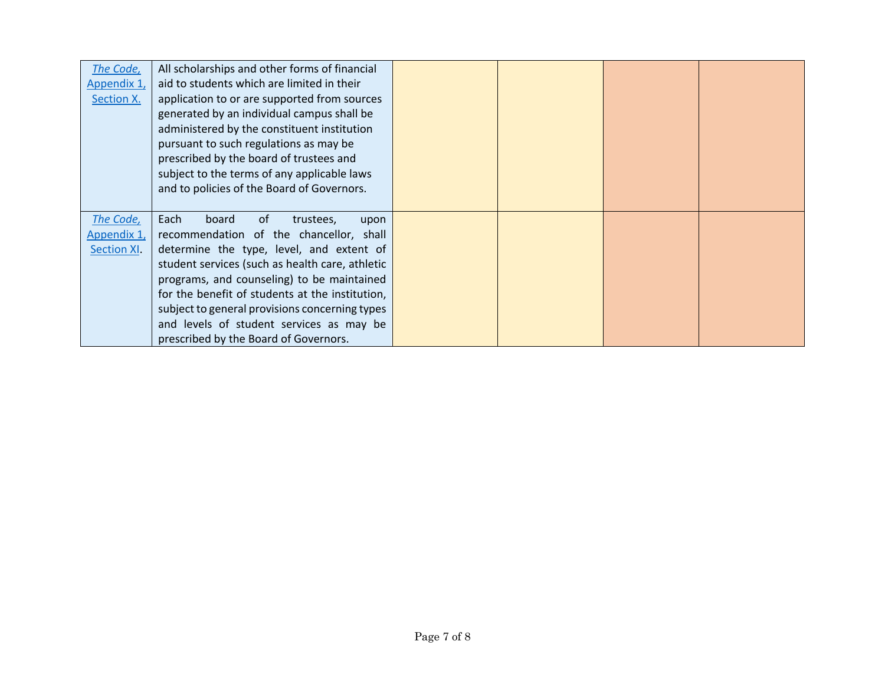| The Code,   | All scholarships and other forms of financial   |  |  |
|-------------|-------------------------------------------------|--|--|
| Appendix 1, | aid to students which are limited in their      |  |  |
| Section X.  | application to or are supported from sources    |  |  |
|             | generated by an individual campus shall be      |  |  |
|             | administered by the constituent institution     |  |  |
|             | pursuant to such regulations as may be          |  |  |
|             | prescribed by the board of trustees and         |  |  |
|             | subject to the terms of any applicable laws     |  |  |
|             | and to policies of the Board of Governors.      |  |  |
|             |                                                 |  |  |
| The Code,   | Each<br>board<br>0f<br>trustees,<br>upon        |  |  |
| Appendix 1, | recommendation of the chancellor, shall         |  |  |
| Section XI. | determine the type, level, and extent of        |  |  |
|             | student services (such as health care, athletic |  |  |
|             | programs, and counseling) to be maintained      |  |  |
|             | for the benefit of students at the institution, |  |  |
|             | subject to general provisions concerning types  |  |  |
|             | and levels of student services as may be        |  |  |
|             | prescribed by the Board of Governors.           |  |  |